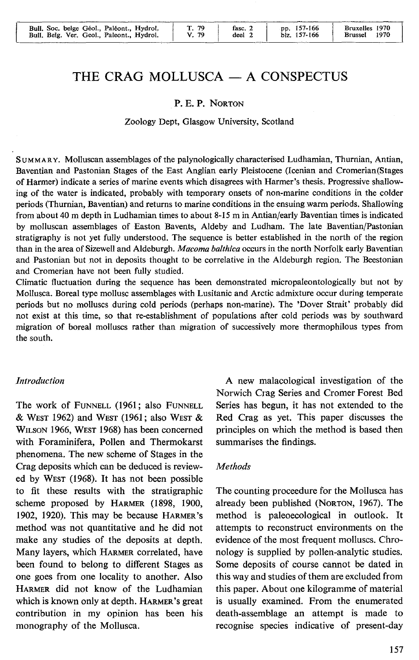| Bull, Soc. belge Géol., Paléont., Hydrol.<br>Bull, Belg, Ver, Geol., Paleont., Hydrol. | Г. 79<br>V. 79 | fasc. 2<br>deel 2 | pp. 157-166<br>blz. 157-166 | Bruxelles 1970<br>1970<br><b>Brussel</b> |
|----------------------------------------------------------------------------------------|----------------|-------------------|-----------------------------|------------------------------------------|
|----------------------------------------------------------------------------------------|----------------|-------------------|-----------------------------|------------------------------------------|

# THE CRAG MOLLUSCA - A CONSPECTUS

#### P. E. P. NORTON

#### Zoology Dept, Glasgow University, Scotland

S UMM AR Y. Molluscan assemblages of the palynologically characterised Ludhamian, Thurnian, Antian, Baventian and Pastonian Stages of the East Anglian early Pleistocene (lcenian and Cromerian(Stages of Harmer) indicate a series of marine events which disagrees with Harmer's thesis. Progressive shallowing of the water is indicated, probably with temporary onsets of non-marine conditions in the colder periods (Thurnian, Baventian) and returns to marine conditions in the ensuing warm periods. Shallowing from about 40 m depth in Ludhamian times to about 8-15 min Antian/early Baventian times is indicated by molluscan assemblages of Easton Bavents, Aldeby and Ludham. The late Baventian/Pastonian stratigraphy is not yet fully understood. The sequence is better established in the north of the region than in the area of Sizewell and Aldeburgh. *Macoma balthica* occurs in the north Norfolk early Baventian and Pastonian but not in deposits thought to be correlative in the Aldeburgh region. The Beestonian and Cromerian have not been fully studied.

Climatic fluctuation during the sequence has been demonstrated micropaleontologically but not by Mollusca. Boreal type mollusc assemblages with Lusitanie and Arctic admixture occur during temperate periods but no molluscs during cold periods (perhaps non-marine). The 'Dover Strait' probably did not exist at this time, so that re-establishment of populations after cold periods was by southward migration of boreal molluscs rather than migration of successively more thermophilous types from the south.

#### *Introduction*

The work of FUNNELL (1961; also FUNNELL & WEST 1962) and WEST (1961; also WEST & WILSON 1966, WEST 1968) has been concemed with Foraminifera, Pollen and Thermokarst phenomena. The new scheme of Stages in the Crag deposits which can be deduced is reviewed by WEST (1968). It has not been possible to fit these results with the stratigraphie scheme proposed by HARMER (1898, 1900, 1902, 1920). This may be because HARMER's method was not quantitative and he did not make any studies of the deposits at depth. Many layers, which HARMER correlated, have been found to belong to different Stages as one goes from one locality to another. Also HARMER did not know of the Ludhamian which is known only at depth. HARMER 's great contribution in my opinion has been his monography of the Mollusca.

A new malacological investigation of the Norwich Crag Series and Cromer Forest Bed Series has begun, it has not extended to the Red Crag as yet. This paper discusses the principles on which the method is based then summarises the findings.

#### *Methods*

The counting proceedure for the Mollusca has already been published (NORTON, 1967). The method is paleoecological in outlook. It attempts to reconstruct environments on the evidence of the most frequent molluscs. Chronology is supplied by pollen-analytic studies. Sorne deposits of course cannot be dated in this way and studies of them are excluded from this paper. About one kilogramme of material is usually examined. From the enumerated death-assemblage an attempt is made to recognise species indicative of present-day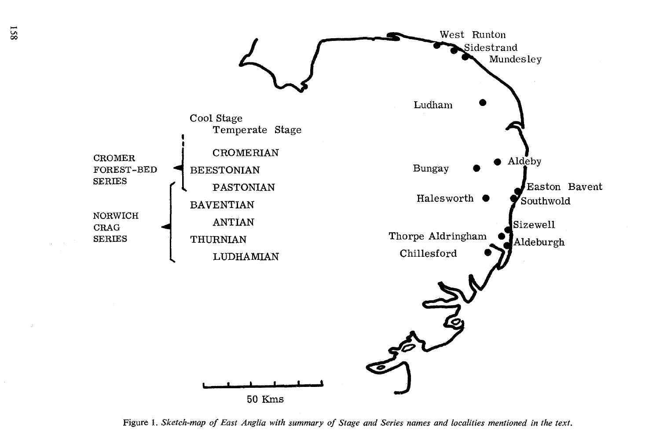

Figure 1. *Sketch-map of East Anglia with summary of Stage and Series names and localities mentioned in the text.*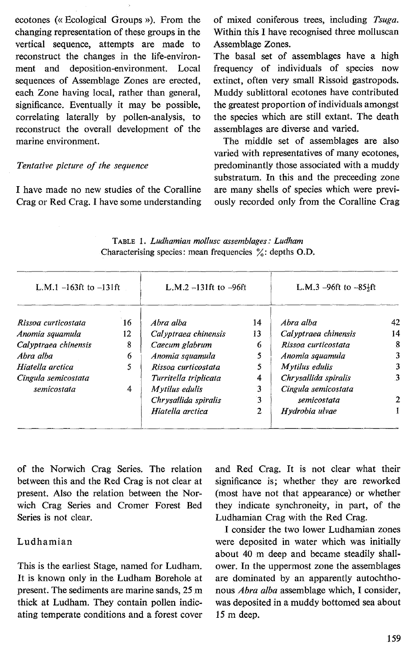ecotones (« Ecological Groups »). From the changing representation of these groups in the vertical sequence, attempts are made to reconstruct the changes in the life-environment and deposition-environment. Local sequences of Assemblage Zones are erected, each Zone having local, rather than general, significance. Eventually it may be possible, correlating laterally by pollen-analysis, to reconstruct the overall development of the marine environment.

#### *Tentative picture of the sequence*

I have made no new studies of the Coralline Crag or Red Crag. I have some understanding of mixed coniferous trees, including *Tsuga.*  Within this I have recognised three molluscan Assemblage Zones.

The basal set of assemblages have a high frequency of individuals of species now extinct, often very small Rissoid gastropods. Muddy sublittoral ecotones have contributed the greatest proportion of individuals amongst the species which are still extant. The death assemblages are diverse and varied.

The middle set of assemblages are also varied with representatives of many ecotones, predominantly those associated with a muddy substratum. In this and the preceeding zone are many shells of species which were previously recorded only from the Coralline Crag

| L.M.1 $-163$ ft to $-131$ ft |    | L.M.2 $-131$ ft to $-96$ ft |    | L.M.3 $-96ft$ to $-85\frac{1}{2}ft$ |    |
|------------------------------|----|-----------------------------|----|-------------------------------------|----|
| Rissoa curticostata          | 16 | Abra alba                   | 14 | Ahra alba                           | 42 |
| Anomia squamula              | 12 | Cal yptraea chinensis       | 13 | Cal yptraea chinensis               | 14 |
| Calyptraea chinensis         | 8  | Caecum glabrum              | 6  | Rissoa curticostata                 | 8  |
| Abra alba                    | 6  | Anomia squamula             | 5  | Anomia squamula                     | 3  |
| Hiatella arctica             | 5  | Rissoa curticostata         |    | Mytilus edulis                      | 3  |
| Cingula semicostata          |    | Turritella triplicata       | 4  | Chrysallida spiralis                | 3  |
| semicostata                  | 4  | Mytilus edulis              | 3  | Cingula semicostata                 |    |
|                              |    | Chrysallida spiralis        | 3  | semicostata                         | 2  |
|                              |    | Hiatella arctica            | າ  | Hvdrobia ulvae                      |    |

TABLE 1. *Ludhamian mollusc assemblages: Ludham*  Characterising species: mean frequencies  $\%$ : depths O.D.

of the Norwich Crag Series. The relation between this and the Red Crag is not clear at present. Also the relation between the Norwich Crag Series and Cromer Forest Bed Series is not clear.

### Ludhamian

This is the earliest Stage, named for Ludham. It is known only in the Ludham Borehole at present. The sediments are marine sands, 25 m thick at Ludham. They contain pollen indicating temperate conditions and a forest cover and Red Crag. It is not clear what their significance is; whether they are reworked (most have not that appearance) or whether they indicate synchroneity, in part, of the Ludhamian Crag with the Red Crag.

I consider the two lower Ludhamian zones were deposited in water which was initially about 40 m deep and became steadily shallower. In the uppermost zone the assemblages are dominated by an apparently autochthonous *Abra alba* assemblage which, I consider, was deposited in a muddy bottomed sea about 15 m deep.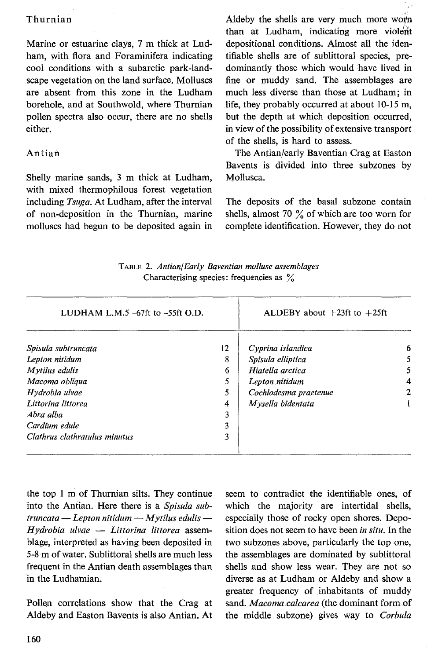### Thurnian

Marine or estuarine clays, 7 m thick at Ludham, with flora and Foraminifera indicating cool conditions with a subarctic park-landscape vegetation on the land surface. Molluscs are absent from this zone in the Ludham borehole, and at Southwold, where Thurnian pollen spectra also occur, there are no shells either.

### Antian

Shelly marine sands, 3 m thick at Ludham, with mixed thermophilous forest vegetation including *Tsuga.* At Ludham, after the interval of non-deposition in the Thurnian, marine molluscs had begun to be deposited again in

Aldeby the shells are very much more worn than at Ludham, indicating more violent depositional conditions. Almost all the identifiable shells are of sublittoral species, predominantly those which would have lived in fine or muddy sand. The assemblages are much less diverse than those at Ludham; in life, they probably occurred at about 10-15 m, but the depth at which deposition occurred, in view of the possibility of extensive transport of the shells, is hard to assess.

The Antian/early Baventian Crag at Easton Bavents is divided into three subzones by Mollusca.

The deposits of the basal subzone contain shells, almost 70 % of which are too worn for complete identification. However, they do not

|  | TABLE 2. Antian/Early Baventian mollusc assemblages |  |  |  |  |
|--|-----------------------------------------------------|--|--|--|--|
|  | Characterising species: frequencies as %            |  |  |  |  |

| LUDHAM L.M.5 $-67$ ft to $-55$ ft O.D. |                       |                                   |
|----------------------------------------|-----------------------|-----------------------------------|
| 12                                     | Cyprina islandica     | 6                                 |
| 8                                      | Spisula elliptica     | 5                                 |
| 6                                      | Hiatella arctica      | 5                                 |
| 5                                      | Lepton nitidum        | 4                                 |
| 5                                      | Cochlodesma praetenue | 2                                 |
| 4                                      | Mysella bidentata     |                                   |
| 3                                      |                       |                                   |
| 3                                      |                       |                                   |
|                                        |                       |                                   |
|                                        |                       | ALDEBY about $+23$ ft to $+25$ ft |

the top 1 m of Thurnian silts. They continue into the Antian. Here there is a *Spisula sub* $truncata$  - *Lepton nitidum* - *Mytilus edulis* -*Hydrobia ulvae* - *Littorina littorea* assemblage, interpreted as having been deposited in 5-8 m of water. Sublittoral shells are much Jess frequent in the Antian death assemblages than in the Ludhamian.

Pollen correlations show that the Crag at Aldeby and Easton Bavents is also Antian. At seem to contradict the identifiable ones, of which the majority are intertidal shells, especially those of rocky open shores. Deposition does not seem to have been *in situ.* In the two subzones above, particularly the top one, the assemblages are dominated by sublittoral shells and show less wear. They are not so diverse as at Ludham or Aldeby and show a greater frequency of inhabitants of muddy sand. *Macoma calcarea* (the dominant form of the middle subzone) gives way to *Corbula*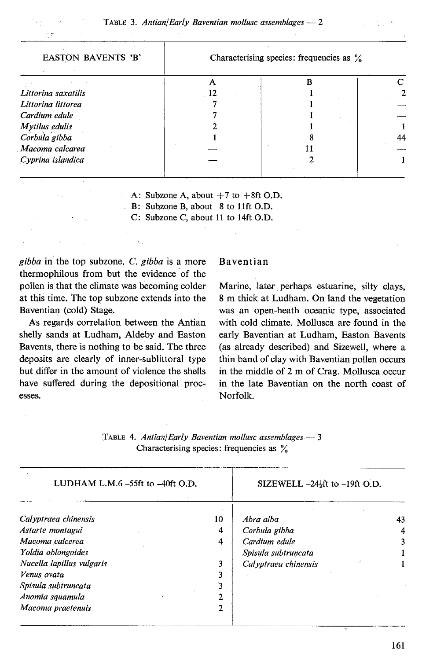| <b>EASTON BAVENTS 'B'</b> | Characterising species: frequencies as $\%$ |  |    |  |  |
|---------------------------|---------------------------------------------|--|----|--|--|
|                           |                                             |  |    |  |  |
| Littorina saxatilis       |                                             |  |    |  |  |
| Littorina littorea        |                                             |  |    |  |  |
| Cardium edule             |                                             |  |    |  |  |
| Mytilus edulis            |                                             |  |    |  |  |
| Corbula gibba             |                                             |  | 44 |  |  |
| Macoma calcarea           |                                             |  |    |  |  |
| Cyprina islandica         |                                             |  |    |  |  |

A: Subzone A, about  $+7$  to  $+8$ ft O.D.

B: Subzone B, about 8 to 11ft O.D.

C: Subzone C, about 11 to 14ft O.D.

*gibba* in the top subzone. *C. gibba* is a more thermophilous from but the evidence of the pollen is that the climate was becoming colder at this time. The top subzone extends into the Baventian (cold) Stage.

 $\tilde{\tau}_1$ 

As regards correlation between the Antian shelly sands at Ludham, Aldeby and Easton Bavents, there is nothing to be said. The three deposits are clearly of inner-sublittoral type but differ in the amount of violence the shells have suffered during the depositional processes.

#### Baventian

Marine, later perhaps estuarine, silty clays, 8 m thick at Ludham. On land the vegetation was an open-heath oceanic type, associated with cold climate. Mollusca are found in the early Baventian at Ludham, Easton Bavents (as already described) and Sizewell, where a thin band of clay with Baventian pollen occurs in the middle of 2 m of Crag. Mollusca occur in the late Baventian on the north coast of Norfolk.

| LUDHAM L.M. $6 - 55$ ft to $-40$ ft O.D. |    | SIZEWELL $-24$ <sup><math>\frac{1}{2}</math>ft to <math>-19</math>ft O.D.</sup> |  |    |
|------------------------------------------|----|---------------------------------------------------------------------------------|--|----|
| Calyptraea chinensis                     | 10 | Abra alba                                                                       |  | 43 |
| Astarte montagui                         | 4  | Corbula gibba                                                                   |  |    |
| Macoma calcerea                          | 4  | Cardium edule                                                                   |  |    |
| Yoldia oblongoides                       |    | Spisula subtruncata                                                             |  |    |
| Nucella lapillus vulgaris                |    | Calyptraea chinensis                                                            |  |    |
| Venus ovata                              |    |                                                                                 |  |    |
| Spisula subtruncata                      |    |                                                                                 |  |    |
| Anomia squamula                          | າ  |                                                                                 |  |    |
| Macoma praetenuis                        | 2  |                                                                                 |  |    |

| TABLE 4. Antian/Early Baventian mollusc assemblages $-3$ |  |
|----------------------------------------------------------|--|
| Characterising species: frequencies as $\%$              |  |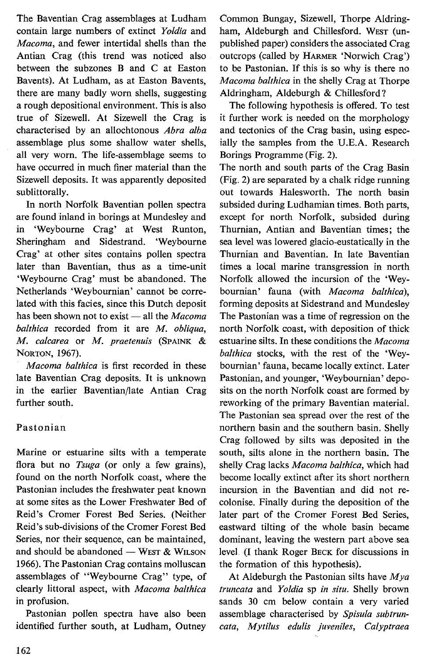The Baventian Crag assemblages at Ludham contain large numbers of extinct *Yoldia* and *Macoma,* and fewer intertidal shells than the Antian Crag (this trend was noticed also between the subzones B and C at Easton Bavents). At Ludham, as at Easton Bavents, there are many badly worn shells, suggesting a rough depositional environment. This is also true of SizeweII. At SizeweII the Crag is characterised by an aIIochtonous *Abra alba*  assemblage plus some shaIIow water shells, aII very worn. The Iife-assemblage seems to have occurred in much finer material than the Sizewell deposits. It was apparently deposited sublittorally.

In north Norfolk Baventian pollen spectra are found inland in borings at Mundesley and in 'Weybourne Crag' at West Runton, Sheringham and Sidestrand. 'Weybourne Crag' at other sites contains poilen spectra later than Baventian, thus as a time-unit 'Weybourne Crag' must be abandoned. The Netherlands 'Weybournian' cannot be corre-Iated with this facies, since this Dutch deposit has been shown not to exist - all the *Macoma balthica* recorded from it are *M. obliqua, M. calcarea* or *M. praetenuis* (SPAINK & NORTON, 1967).

*Macoma balthica* is first recorded in these Iate Baventian Crag deposits. It is unknown in the earlier Baventian/Iate Antian Crag further south.

### Pastonian

Marine or estuarine silts with a temperate flora but no *Tsuga* (or only a few grains), found on the north Norfolk coast, where the Pastonian includes the freshwater peat known at some sites as the Lower Freshwater Bed of Reid's Cromer Forest Bed Series. (Neither Reid 's sub-divisions of the Cromer Forest Bed Series, nor their sequence, can be maintained, and should be abandoned  $-$  WEST & WILSON 1966). The Pastonian Crag contains molluscan assemblages of "Weybourne Crag" type, of clearly littoral aspect, with *Macoma balthica*  in profusion.

Pastonian pollen spectra have also been identified further south, at Ludham, Outney Common Bungay, Sizewell, Thorpe Aldringham, Aldeburgh and Chillesford. WEST (unpublished paper) considers the associated Crag outcrops (called by HARMER 'Norwich Crag') to be Pastonian. If this is so why is there no *Macoma balthica* in the shelly Crag at Thorpe Aldringham, Aldeburgh & Chillesford?

The following hypothesis is offered. To test it further work is needed on the morphology and tectonics of the Crag basin, using especially the samples from the U.E.A. Research Borings Programme (Fig. 2).

The north and south parts of the Crag Basin (Fig. 2) are separated by a chalk ridge running out towards Halesworth. The north basin subsided during Ludhamian times. Both parts, except for north Norfolk, subsided during Thurnian, Antian and Baventian times; the sea level was lowered glacio-eustatically in the Thurnian and Baventian. In late Baventian times a local marine transgression in north Norfolk allowed the incursion of the 'Weybournian' fauna (with *Macoma balthica),*  forming deposits at Sidestrand and Mundesley The Pastonian was a time of regression on the north Norfolk coast, with deposition of thick estuarine silts. In these conditions the *Macoma balthica* stocks, with the rest of the 'Weybournian' fauna, became Iocally extinct. Later Pastonian, and younger, 'Weybournian' deposits on the north Norfolk coast are formed by reworking of the primary Baventian material. The Pastonian sea spread over the rest of the northern basin and the southern basin. Sheily Crag followed by silts was deposited in the south, silts alone in the northern basin. The shelly Crag Jacks *Macoma balthica,* which had become locally extinct after its short northern incursion in the Baventian and did not recolonise. Finaily during the deposition of the later part of the Cromer Forest Bed Series, eastward tilting of the whole basin became dominant, Ieaving the western part above sea level. (1 thank Roger BECK for discussions in the formation of this hypothesis).

At Aldeburgh the Pastonian silts have *Mya truncata* and *Yoldia* sp *in situ.* Shelly brown sands 30 cm below contain a very varied assemblage characterised by *Spisula subtruncata, Mytilus edulis juveniles, Calyptraea*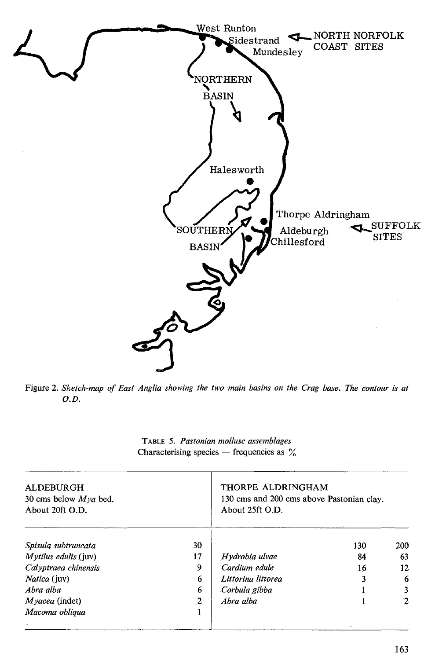

Figure 2. *Sketch-map of East Anglia showing the two main basins on the Crag base. The contour is at O.D.* 

|                | THORPE ALDRINGHAM<br>130 cms and 200 cms above Pastonian clay.<br>About 25ft O.D. |     |              |  |
|----------------|-----------------------------------------------------------------------------------|-----|--------------|--|
| 30             |                                                                                   | 130 | 200          |  |
| 17             | Hydrobia ulvae                                                                    | 84  | 63           |  |
| 9              | Cardium edule                                                                     | 16  | 12           |  |
| 6              | Littorina littorea                                                                | 3   | 6            |  |
| 6              | Corbula gibba                                                                     |     | 3            |  |
| $\overline{2}$ | Abra alba                                                                         |     | $\mathbf{2}$ |  |
|                |                                                                                   |     |              |  |
|                |                                                                                   |     |              |  |

TABLE 5. *Pastonian mollusc assemblages*  Characterising species  $-$  frequencies as  $\%$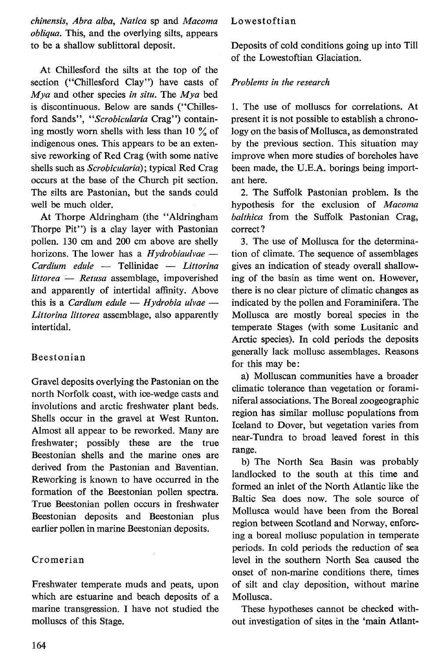*chinensis, Abra alba, Natica* sp and *Macoma obliqua.* This, and the overlying silts, appears to be a shallow sublittoral deposit.

At Chillesford the silts at the top of the section ("Chillesford Clay") have casts of *Mya* and other species *in situ.* The *Mya* bed is discontinuous. Below are sands ("Chillesford Sands'', *"Scrobicularia* Crag") containing mostly worn shells with less than 10  $\%$  of indigenous ones. This appears to be an extensive reworking of Red Crag (with some native shells such as *Scrobicularia);* typical Red Crag occurs at the base of the Church pit section. The silts are Pastonian, but the sands could well be much older.

At Thorpe Aldringham (the "Aldringham Thorpe Pit") is a clay layer with Pastonian pollen. 130 cm and 200 cm above are shelly horizons. The lower has a *Hydrobiaulvae* -*Cardium edule* - Tellinidae - *Littorina littorea* - *Retusa* assemblage, impoverished and apparently of intertidal affinity. Above this is a *Cardium edule – Hydrobia ulvae* – *Littorina littorea* assemblage, also apparently intertidal.

# Beestonian

Gravel deposits overlying the Pastonian on the north Norfolk coast, with ice-wedge casts and involutions and arctic freshwater plant beds. Shells occur in the gravel at West Runton. Almost ail appear to be reworked. Many are freshwater; possibly these are the true Beestonian shells and the marine ones are derived from the Pastonian and Baventian. Reworking is known to have occurred in the formation of the Beestonian pollen spectra. True Beestonian pollen occurs in freshwater Beestonian deposits and Beestonian plus earlier pollen in marine Beestonian deposits.

# Cromerian

Freshwater temperate muds and peats, upon which are estuarine and beach deposits of a marine transgression. 1 have not studied the molluscs of this Stage.

### Lowestoftian

Deposits of cold conditions going up into Till of the Lowestoftian Glaciation.

### *Problems in the research*

1. The use of molluscs for correlations. At present it is not possible to establish a chronology on the basis of Mollusca, as demonstrated by the previous section. This situation may improve when more studies of boreholes have been made, the U.E.A. borings being important here.

2. The Suffolk Pastonian problem. Is the hypothesis for the exclusion of *Macoma balthica* from the Suffolk Pastonian Crag, correct?

3. The use of Mollusca for the determination of climate. The sequence of assemblages gives an indication of steady overall shallowing of the basin as time went on. However, there is no clear picture of climatic changes as indicated by the pollen and Foraminifera. The Mollusca are mostly boreal species in the temperate Stages (with some Lusitanie and Arctic species). In cold periods the deposits generally lack mollusc assemblages. Reasons for this may be:

a) Molluscan communities have a broader climatic tolerance than vegetation or foraminiferal associations. The Boreal zoogeographic region has similar mollusc populations from Iceland to Dover, but vegetation varies from near-Tundra to broad leaved forest in this range.

b) The North Sea Basin was probably landlocked to the south at this time and formed an inlet of the North Atlantic like the Baltic Sea does now. The sole source of Mollusca would have been from the Boreal region between Scotland and Norway, enforcing a boreal mollusc population in temperate periods. In cold periods the reduction of sea level in the southern North Sea caused the onset of non-marine conditions there, times of silt and clay deposition, without marine Mollusca.

These hypotheses cannot be checked without investigation of sites in the 'main Atlant